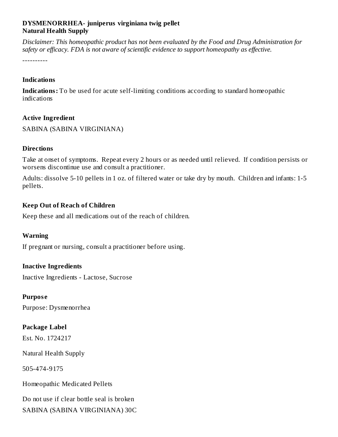## **DYSMENORRHEA- juniperus virginiana twig pellet Natural Health Supply**

*Disclaimer: This homeopathic product has not been evaluated by the Food and Drug Administration for safety or efficacy. FDA is not aware of scientific evidence to support homeopathy as effective.*

----------

#### **Indications**

**Indications:** To be used for acute self-limiting conditions according to standard homeopathic indications

### **Active Ingredient**

SABINA (SABINA VIRGINIANA)

### **Directions**

Take at onset of symptoms. Repeat every 2 hours or as needed until relieved. If condition persists or worsens discontinue use and consult a practitioner.

Adults: dissolve 5-10 pellets in 1 oz. of filtered water or take dry by mouth. Children and infants: 1-5 pellets.

## **Keep Out of Reach of Children**

Keep these and all medications out of the reach of children.

## **Warning**

If pregnant or nursing, consult a practitioner before using.

# **Inactive Ingredients**

Inactive Ingredients - Lactose, Sucrose

**Purpos e**

Purpose: Dysmenorrhea

## **Package Label**

Est. No. 1724217

Natural Health Supply

505-474-9175

Homeopathic Medicated Pellets

Do not use if clear bottle seal is broken SABINA (SABINA VIRGINIANA) 30C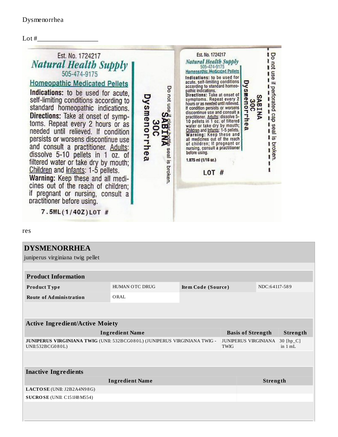

res

| <b>DYSMENORRHEA</b>                                                                           |                |                    |                                            |                          |                        |          |  |  |  |  |
|-----------------------------------------------------------------------------------------------|----------------|--------------------|--------------------------------------------|--------------------------|------------------------|----------|--|--|--|--|
| juniperus virginiana twig pellet                                                              |                |                    |                                            |                          |                        |          |  |  |  |  |
|                                                                                               |                |                    |                                            |                          |                        |          |  |  |  |  |
| <b>Product Information</b>                                                                    |                |                    |                                            |                          |                        |          |  |  |  |  |
| Product Type                                                                                  | HUMAN OTC DRUG | Item Code (Source) |                                            |                          | NDC:64117-589          |          |  |  |  |  |
| <b>Route of Administration</b>                                                                | ORAL           |                    |                                            |                          |                        |          |  |  |  |  |
|                                                                                               |                |                    |                                            |                          |                        |          |  |  |  |  |
|                                                                                               |                |                    |                                            |                          |                        |          |  |  |  |  |
| <b>Active Ingredient/Active Moiety</b>                                                        |                |                    |                                            |                          |                        |          |  |  |  |  |
| <b>Ingredient Name</b>                                                                        |                |                    |                                            | <b>Basis of Strength</b> |                        | Strength |  |  |  |  |
| JUNIPERUS VIRGINIANA TWIG (UNII: 532BCG080L) (JUNIPERUS VIRGINIANA TWIG -<br>UNII:532BCG080L) |                |                    | <b>JUNIPERUS VIRGINIANA</b><br><b>TWIG</b> |                          | 30 [hp_C]<br>in $1 mL$ |          |  |  |  |  |
|                                                                                               |                |                    |                                            |                          |                        |          |  |  |  |  |
|                                                                                               |                |                    |                                            |                          |                        |          |  |  |  |  |
| <b>Inactive Ingredients</b>                                                                   |                |                    |                                            |                          |                        |          |  |  |  |  |
| <b>Ingredient Name</b>                                                                        |                |                    |                                            | Strength                 |                        |          |  |  |  |  |
| LACTOSE (UNII: J2B2A4N98G)                                                                    |                |                    |                                            |                          |                        |          |  |  |  |  |
| SUCROSE (UNII: C151H8M554)                                                                    |                |                    |                                            |                          |                        |          |  |  |  |  |
|                                                                                               |                |                    |                                            |                          |                        |          |  |  |  |  |
|                                                                                               |                |                    |                                            |                          |                        |          |  |  |  |  |